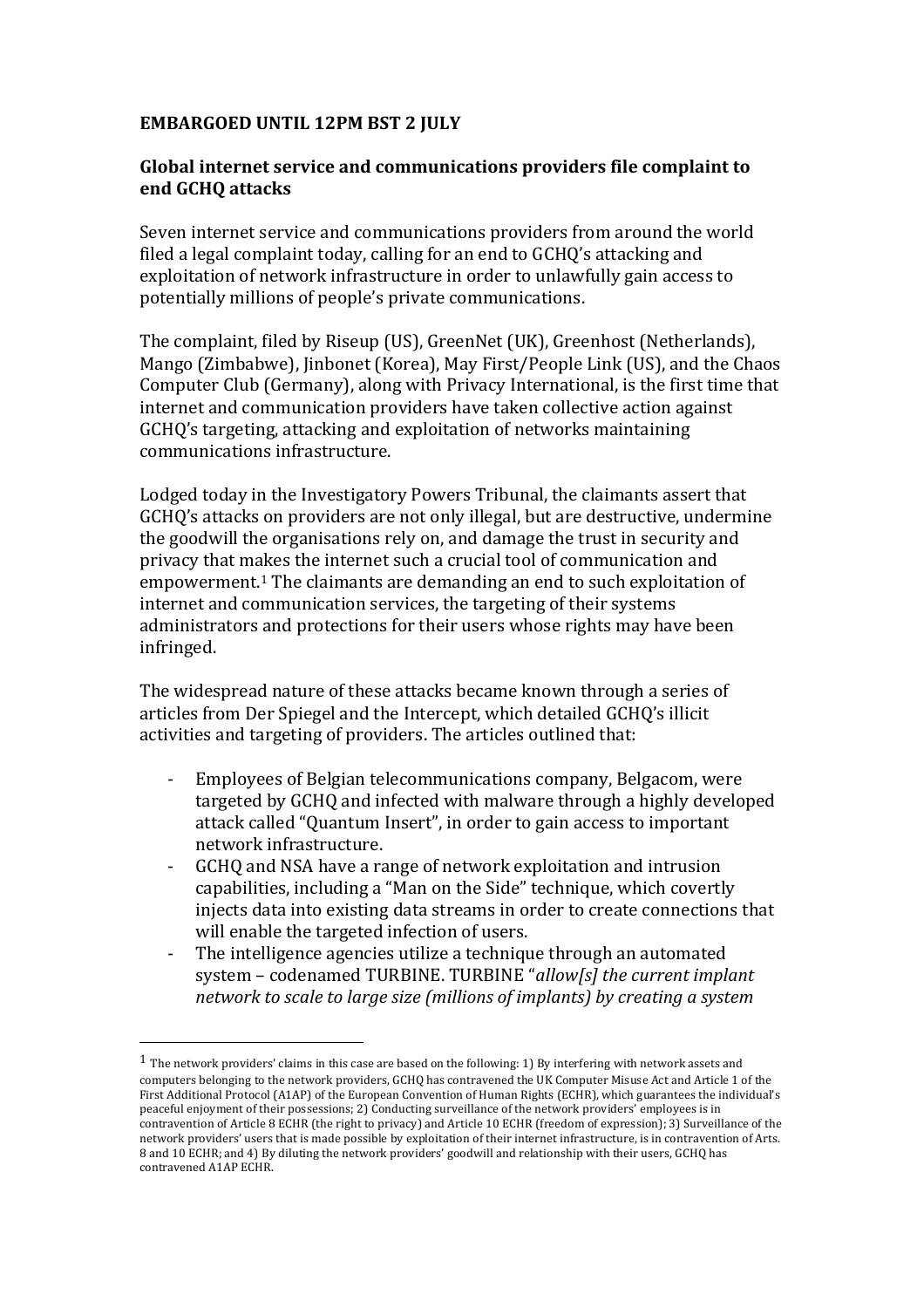## **EMBARGOED UNTIL 12PM BST 2 JULY**

## Global internet service and communications providers file complaint to **end GCHQ attacks**

Seven internet service and communications providers from around the world filed a legal complaint today, calling for an end to GCHQ's attacking and exploitation of network infrastructure in order to unlawfully gain access to potentially millions of people's private communications.

The complaint, filed by Riseup (US), GreenNet (UK), Greenhost (Netherlands), Mango (Zimbabwe), Jinbonet (Korea), May First/People Link (US), and the Chaos Computer Club (Germany), along with Privacy International, is the first time that internet and communication providers have taken collective action against GCHQ's targeting, attacking and exploitation of networks maintaining communications infrastructure.

Lodged today in the Investigatory Powers Tribunal, the claimants assert that GCHQ's attacks on providers are not only illegal, but are destructive, undermine the goodwill the organisations rely on, and damage the trust in security and privacy that makes the internet such a crucial tool of communication and empowerment.<sup>1</sup> The claimants are demanding an end to such exploitation of internet and communication services, the targeting of their systems administrators and protections for their users whose rights may have been infringed.

The widespread nature of these attacks became known through a series of articles from Der Spiegel and the Intercept, which detailed GCHO's illicit activities and targeting of providers. The articles outlined that:

- Employees of Belgian telecommunications company, Belgacom, were targeted by GCHQ and infected with malware through a highly developed attack called "Quantum Insert", in order to gain access to important network infrastructure.
- GCHO and NSA have a range of network exploitation and intrusion capabilities, including a "Man on the Side" technique, which covertly injects data into existing data streams in order to create connections that will enable the targeted infection of users.
- The intelligence agencies utilize a technique through an automated system - codenamed TURBINE. TURBINE "allow[s] the current implant *network to scale to large size (millions of implants) by creating a system*

 

 $1$  The network providers' claims in this case are based on the following: 1) By interfering with network assets and computers belonging to the network providers, GCHQ has contravened the UK Computer Misuse Act and Article 1 of the First Additional Protocol (A1AP) of the European Convention of Human Rights (ECHR), which guarantees the individual's peaceful enjoyment of their possessions; 2) Conducting surveillance of the network providers' employees is in contravention of Article 8 ECHR (the right to privacy) and Article 10 ECHR (freedom of expression); 3) Surveillance of the network providers' users that is made possible by exploitation of their internet infrastructure, is in contravention of Arts. 8 and 10 ECHR; and 4) By diluting the network providers' goodwill and relationship with their users, GCHQ has contravened A1AP ECHR.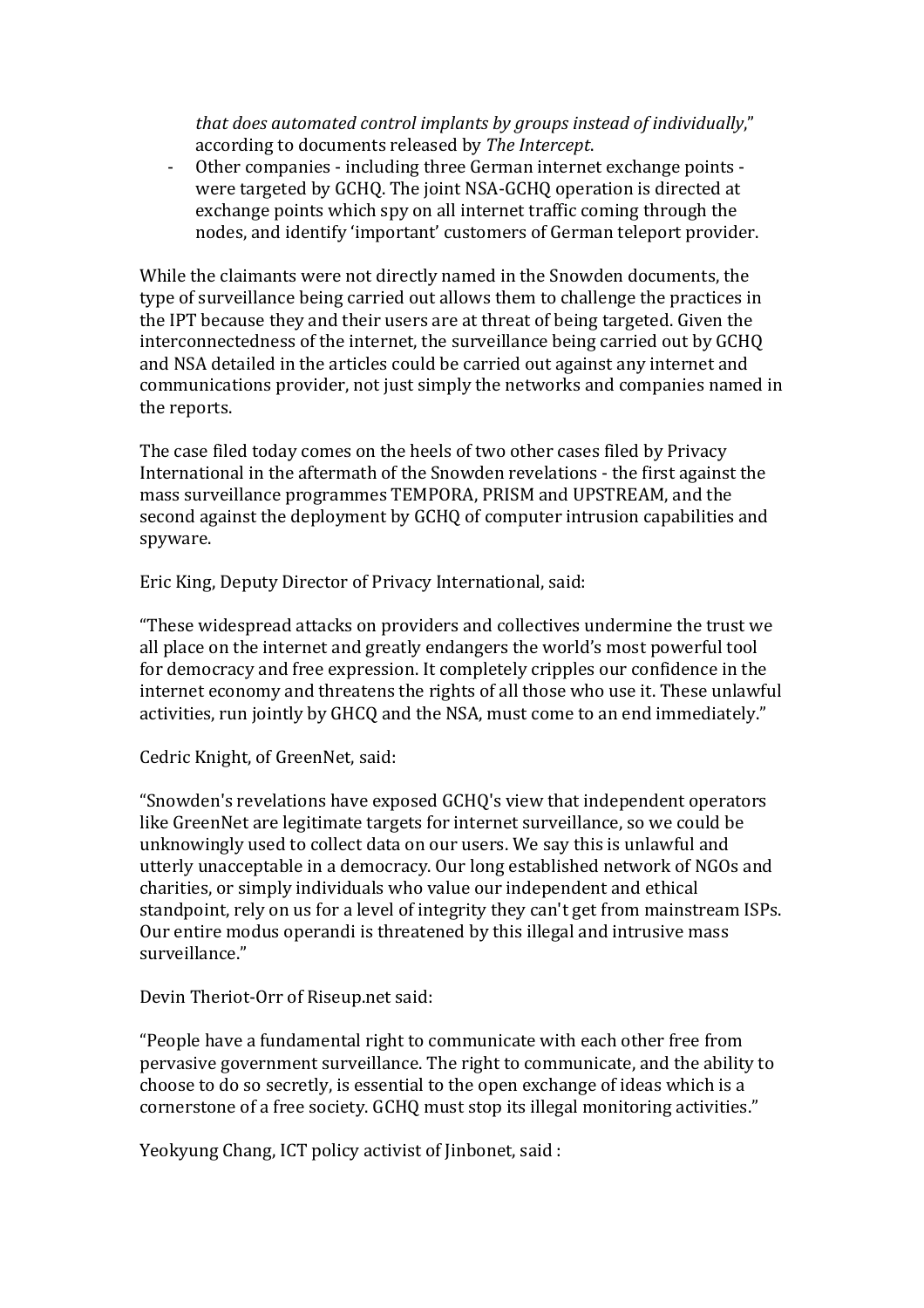that does automated control implants by groups instead of individually," according to documents released by *The Intercept*.

- Other companies - including three German internet exchange points were targeted by GCHQ. The joint NSA-GCHQ operation is directed at exchange points which spy on all internet traffic coming through the nodes, and identify 'important' customers of German teleport provider.

While the claimants were not directly named in the Snowden documents, the type of surveillance being carried out allows them to challenge the practices in the IPT because they and their users are at threat of being targeted. Given the interconnectedness of the internet, the surveillance being carried out by GCHQ and NSA detailed in the articles could be carried out against any internet and communications provider, not just simply the networks and companies named in the reports.

The case filed today comes on the heels of two other cases filed by Privacy International in the aftermath of the Snowden revelations - the first against the mass surveillance programmes TEMPORA, PRISM and UPSTREAM, and the second against the deployment by GCHQ of computer intrusion capabilities and spyware.

Eric King, Deputy Director of Privacy International, said:

"These widespread attacks on providers and collectives undermine the trust we all place on the internet and greatly endangers the world's most powerful tool for democracy and free expression. It completely cripples our confidence in the internet economy and threatens the rights of all those who use it. These unlawful activities, run jointly by GHCO and the NSA, must come to an end immediately."

Cedric Knight, of GreenNet, said:

"Snowden's revelations have exposed GCHQ's view that independent operators like GreenNet are legitimate targets for internet surveillance, so we could be unknowingly used to collect data on our users. We say this is unlawful and utterly unacceptable in a democracy. Our long established network of NGOs and charities, or simply individuals who value our independent and ethical standpoint, rely on us for a level of integrity they can't get from mainstream ISPs. Our entire modus operandi is threatened by this illegal and intrusive mass surveillance."

Devin Theriot-Orr of Riseup.net said:

"People have a fundamental right to communicate with each other free from pervasive government surveillance. The right to communicate, and the ability to choose to do so secretly, is essential to the open exchange of ideas which is a cornerstone of a free society. GCHQ must stop its illegal monitoring activities."

Yeokyung Chang, ICT policy activist of linbonet, said :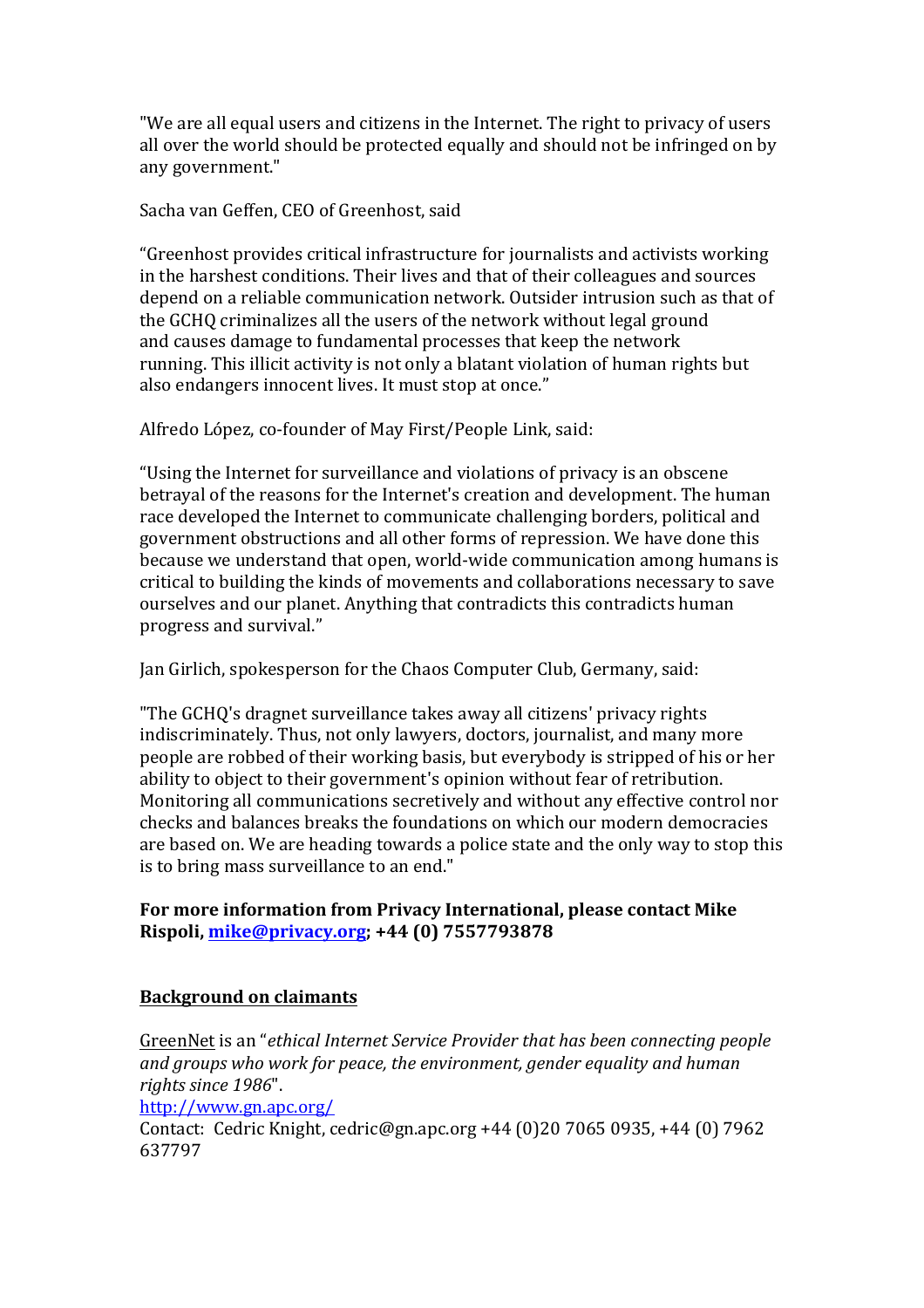"We are all equal users and citizens in the Internet. The right to privacy of users all over the world should be protected equally and should not be infringed on by any government."

Sacha van Geffen, CEO of Greenhost, said

"Greenhost provides critical infrastructure for journalists and activists working in the harshest conditions. Their lives and that of their colleagues and sources depend on a reliable communication network. Outsider intrusion such as that of the GCHQ criminalizes all the users of the network without legal ground and causes damage to fundamental processes that keep the network running. This illicit activity is not only a blatant violation of human rights but also endangers innocent lives. It must stop at once."

Alfredo López, co-founder of May First/People Link, said:

"Using the Internet for surveillance and violations of privacy is an obscene betrayal of the reasons for the Internet's creation and development. The human race developed the Internet to communicate challenging borders, political and government obstructions and all other forms of repression. We have done this because we understand that open, world-wide communication among humans is critical to building the kinds of movements and collaborations necessary to save ourselves and our planet. Anything that contradicts this contradicts human progress and survival."

Jan Girlich, spokesperson for the Chaos Computer Club, Germany, said:

"The GCHO's dragnet surveillance takes away all citizens' privacy rights indiscriminately. Thus, not only lawyers, doctors, journalist, and many more people are robbed of their working basis, but everybody is stripped of his or her ability to object to their government's opinion without fear of retribution. Monitoring all communications secretively and without any effective control nor checks and balances breaks the foundations on which our modern democracies are based on. We are heading towards a police state and the only way to stop this is to bring mass surveillance to an end."

## For more information from Privacy International, please contact Mike **Rispoli, mike@privacy.org; +44 (0) 7557793878**

## **Background on claimants**

GreenNet is an "*ethical Internet Service Provider that has been connecting people* and groups who work for peace, the environment, gender equality and human rights since 1986".

http://www.gn.apc.org/

Contact: Cedric Knight, cedric@gn.apc.org +44 (0)20 7065 0935, +44 (0) 7962 637797